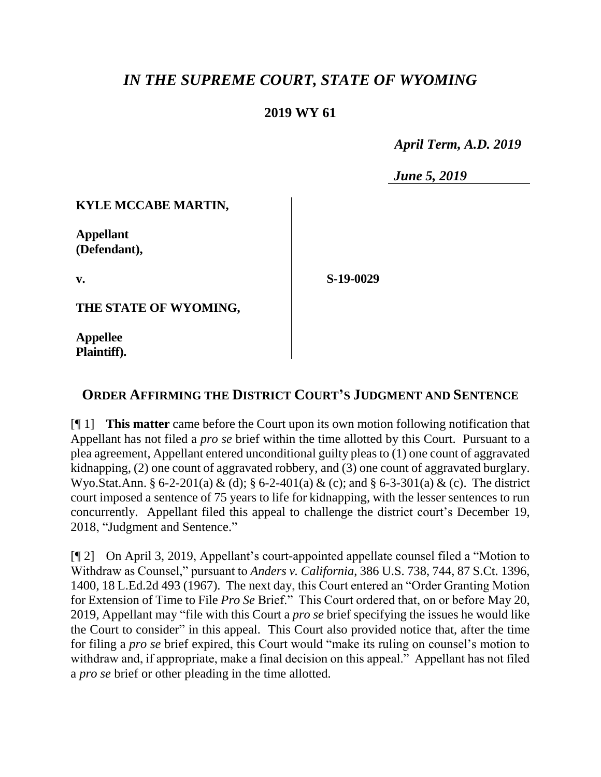# *IN THE SUPREME COURT, STATE OF WYOMING*

### **2019 WY 61**

 *April Term, A.D. 2019*

*June 5, 2019*

#### **KYLE MCCABE MARTIN,**

**Appellant (Defendant),**

**v.**

**S-19-0029**

**THE STATE OF WYOMING,**

**Appellee Plaintiff).**

## **ORDER AFFIRMING THE DISTRICT COURT'S JUDGMENT AND SENTENCE**

[¶ 1] **This matter** came before the Court upon its own motion following notification that Appellant has not filed a *pro se* brief within the time allotted by this Court. Pursuant to a plea agreement, Appellant entered unconditional guilty pleas to (1) one count of aggravated kidnapping, (2) one count of aggravated robbery, and (3) one count of aggravated burglary. Wyo.Stat.Ann. § 6-2-201(a) & (d); § 6-2-401(a) & (c); and § 6-3-301(a) & (c). The district court imposed a sentence of 75 years to life for kidnapping, with the lesser sentences to run concurrently. Appellant filed this appeal to challenge the district court's December 19, 2018, "Judgment and Sentence."

[¶ 2] On April 3, 2019, Appellant's court-appointed appellate counsel filed a "Motion to Withdraw as Counsel," pursuant to *Anders v. California*, 386 U.S. 738, 744, 87 S.Ct. 1396, 1400, 18 L.Ed.2d 493 (1967). The next day, this Court entered an "Order Granting Motion for Extension of Time to File *Pro Se* Brief." This Court ordered that, on or before May 20, 2019, Appellant may "file with this Court a *pro se* brief specifying the issues he would like the Court to consider" in this appeal. This Court also provided notice that, after the time for filing a *pro se* brief expired, this Court would "make its ruling on counsel's motion to withdraw and, if appropriate, make a final decision on this appeal." Appellant has not filed a *pro se* brief or other pleading in the time allotted.